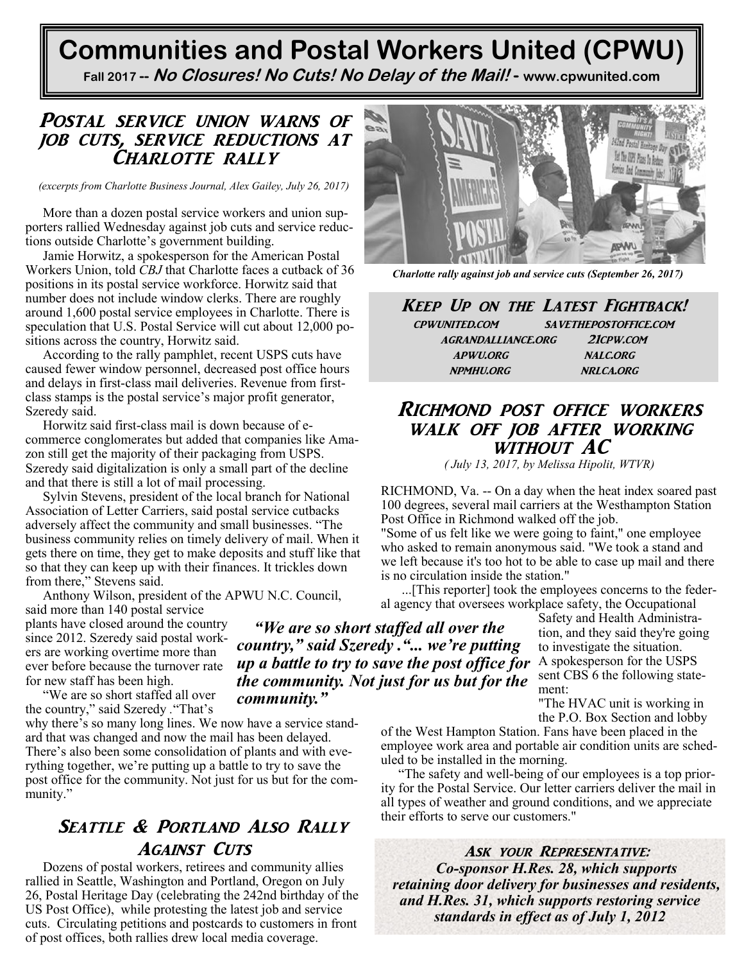# **Communities and Postal Workers United (CPWU)**

**Fall 2017 -- No Closures! No Cuts! No Delay of the Mail! - [www.cpwunited.com](http://www.cpwunited.com)**

*"We are so short staffed all over the country," said Szeredy ."... we're putting up a battle to try to save the post office for* 

## Postal service union warns of job cuts, service reductions at CHARLOTTE RALLY

*(excerpts from Charlotte Business Journal, Alex Gailey, July 26, 2017)*

More than a dozen postal service workers and union supporters rallied Wednesday against job cuts and service reductions outside Charlotte's government building.

[Jamie Horwitz,](https://www.bizjournals.com/charlotte/search/results?q=Jamie%20Horwitz) a spokesperson for the [American Postal](http://companies.bizjournals.com/profile/american-postal-workers-union/4174230/)  [Workers Union,](http://companies.bizjournals.com/profile/american-postal-workers-union/4174230/) told *CBJ* that Charlotte faces a cutback of 36 positions in its postal service workforce. Horwitz said that number does not include window clerks. There are roughly around 1,600 postal service employees in Charlotte. There is speculation that U.S. Postal Service will cut about 12,000 positions across the country, Horwitz said.

According to the rally pamphlet, recent USPS cuts have caused fewer window personnel, decreased post office hours and delays in first-class mail deliveries. Revenue from firstclass stamps is the postal service's major profit generator, Szeredy said.

Horwitz said first-class mail is down because of ecommerce conglomerates but added that companies like Amazon still get the majority of their packaging from USPS. Szeredy said digitalization is only a small part of the decline and that there is still a lot of mail processing.

[Sylvin Stevens,](https://www.bizjournals.com/charlotte/search/results?q=Sylvin%20Stevens) president of the local branch for [National](http://companies.bizjournals.com/profile/nalc/174293/)  [Association of Letter Carriers,](http://companies.bizjournals.com/profile/nalc/174293/) said postal service cutbacks adversely affect the community and small businesses. "The business community relies on timely delivery of mail. When it gets there on time, they get to make deposits and stuff like that so that they can keep up with their finances. It trickles down from there," Stevens said.

[Anthony Wilson,](https://www.bizjournals.com/charlotte/search/results?q=Anthony%20Wilson) president of the APWU N.C. Council, said more than 140 postal service

plants have closed around the country since 2012. Szeredy said postal workers are working overtime more than ever before because the turnover rate for new staff has been high.

"We are so short staffed all over the country," said Szeredy *.*"That's why there's so many long lines. We now have a service standard that was changed and now the mail has been delayed. There's also been some consolidation of plants and with everything together, we're putting up a battle to try to save the post office for the community. Not just for us but for the community." *the community. Not just for us but for the community."*

# SEATTLE & PORTLAND ALSO RALLY **AGAINST CUTS**

Dozens of postal workers, retirees and community allies rallied in Seattle, Washington and Portland, Oregon on July 26, Postal Heritage Day (celebrating the 242nd birthday of the US Post Office), while protesting the latest job and service cuts. Circulating petitions and postcards to customers in front of post offices, both rallies drew local media coverage.



*Charlotte rally against job and service cuts (September 26, 2017)*

Keep Up on the Latest Fightback! cpwunited.com savethepostoffice.com agrandalliance.org 21cpw.com apwu.org nalc.org npmhu.org nrlca.org

## Richmond post office workers walk off job after working without AC

*( July 13, 2017, by Melissa Hipolit, WTVR)*

RICHMOND, Va. -- On a day when the heat index soared past 100 degrees, several mail carriers at the Westhampton Station Post Office in Richmond walked off the job.

"Some of us felt like we were going to faint," one employee who asked to remain anonymous said. "We took a stand and we left because it's too hot to be able to case up mail and there is no circulation inside the station."

...[This reporter] took the employees concerns to the federal agency that oversees workplace safety, the Occupational

> Safety and Health Administration, and they said they're going to investigate the situation. A spokesperson for the USPS sent CBS 6 the following statement:

"The HVAC unit is working in the P.O. Box Section and lobby

of the West Hampton Station. Fans have been placed in the employee work area and portable air condition units are scheduled to be installed in the morning.

"The safety and well-being of our employees is a top priority for the Postal Service. Our letter carriers deliver the mail in all types of weather and ground conditions, and we appreciate their efforts to serve our customers."

ASK YOUR REPRESENTATIVE: *Co-sponsor H.Res. 28, which supports retaining door delivery for businesses and residents, and H.Res. 31, which supports restoring service standards in effect as of July 1, 2012*